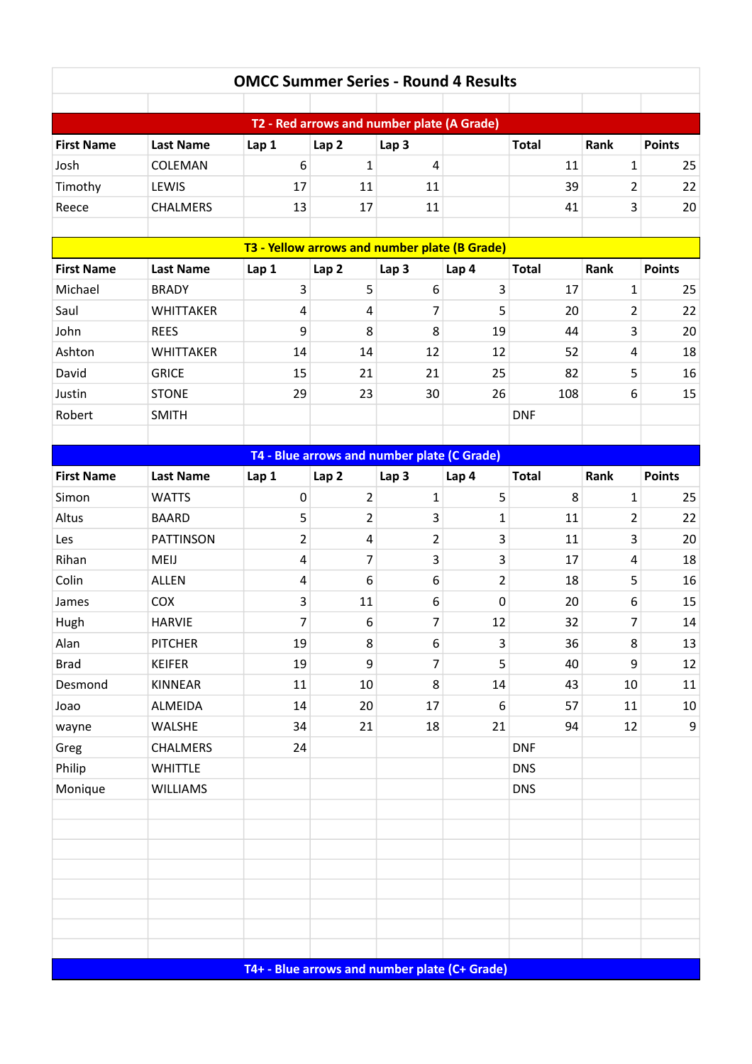| <b>OMCC Summer Series - Round 4 Results</b>   |                  |                                               |                                             |                  |                |              |                         |                  |  |  |  |  |  |
|-----------------------------------------------|------------------|-----------------------------------------------|---------------------------------------------|------------------|----------------|--------------|-------------------------|------------------|--|--|--|--|--|
|                                               |                  |                                               |                                             |                  |                |              |                         |                  |  |  |  |  |  |
| T2 - Red arrows and number plate (A Grade)    |                  |                                               |                                             |                  |                |              |                         |                  |  |  |  |  |  |
| <b>First Name</b>                             | <b>Last Name</b> | Lap 1                                         | Lap <sub>2</sub>                            | Lap <sub>3</sub> |                | <b>Total</b> | Rank                    | <b>Points</b>    |  |  |  |  |  |
| Josh                                          | COLEMAN          | $6\,$                                         | $\mathbf{1}$                                | 4                |                | 11           | 1                       | 25               |  |  |  |  |  |
| Timothy                                       | LEWIS            | 17                                            | 11                                          | 11               |                | 39           | $\overline{\mathbf{c}}$ | 22               |  |  |  |  |  |
| Reece                                         | <b>CHALMERS</b>  | 13                                            | 17                                          | 11               |                | 41           | 3                       | 20               |  |  |  |  |  |
|                                               |                  |                                               |                                             |                  |                |              |                         |                  |  |  |  |  |  |
| T3 - Yellow arrows and number plate (B Grade) |                  |                                               |                                             |                  |                |              |                         |                  |  |  |  |  |  |
| <b>First Name</b>                             | <b>Last Name</b> | Lap 1                                         | Lap <sub>2</sub>                            | Lap <sub>3</sub> | Lap 4          | <b>Total</b> | Rank                    | <b>Points</b>    |  |  |  |  |  |
| Michael                                       | <b>BRADY</b>     | 3                                             | 5                                           | 6                | 3              | 17           | $\mathbf{1}$            | 25               |  |  |  |  |  |
| Saul                                          | <b>WHITTAKER</b> | $\overline{4}$                                | 4                                           | 7                | 5              | 20           | $\overline{\mathbf{c}}$ | 22               |  |  |  |  |  |
| John                                          | <b>REES</b>      | 9                                             | 8                                           | 8                | 19             | 44           | 3                       | 20               |  |  |  |  |  |
| Ashton                                        | <b>WHITTAKER</b> | 14                                            | 14                                          | 12               | 12             | 52           | 4                       | 18               |  |  |  |  |  |
| David                                         | <b>GRICE</b>     | 15                                            | 21                                          | 21               | 25             | 82           | 5                       | 16               |  |  |  |  |  |
| Justin                                        | <b>STONE</b>     | 29                                            | 23                                          | 30               | 26             | 108          | 6                       | 15               |  |  |  |  |  |
| Robert                                        | <b>SMITH</b>     |                                               |                                             |                  |                | <b>DNF</b>   |                         |                  |  |  |  |  |  |
|                                               |                  |                                               |                                             |                  |                |              |                         |                  |  |  |  |  |  |
|                                               |                  |                                               | T4 - Blue arrows and number plate (C Grade) |                  |                |              |                         |                  |  |  |  |  |  |
| <b>First Name</b>                             | <b>Last Name</b> | Lap 1                                         | Lap <sub>2</sub>                            | Lap <sub>3</sub> | Lap 4          | <b>Total</b> | Rank                    | <b>Points</b>    |  |  |  |  |  |
| Simon                                         | <b>WATTS</b>     | $\boldsymbol{0}$                              | $\overline{2}$                              | 1                | 5              | 8            | $\mathbf{1}$            | 25               |  |  |  |  |  |
| Altus                                         | <b>BAARD</b>     | 5                                             | $\overline{2}$                              | 3                | $\mathbf{1}$   | 11           | 2                       | 22               |  |  |  |  |  |
| Les                                           | <b>PATTINSON</b> | 2                                             | 4                                           | $\overline{2}$   | 3              | 11           | 3                       | 20               |  |  |  |  |  |
| Rihan                                         | MEIJ             | $\overline{4}$                                | 7                                           | 3                | 3              | 17           | 4                       | 18               |  |  |  |  |  |
| Colin                                         | <b>ALLEN</b>     | 4                                             | $6\,$                                       | 6                | $\overline{2}$ | 18           | 5                       | 16               |  |  |  |  |  |
| James                                         | <b>COX</b>       | 3                                             | 11                                          | 6                | $\mathbf 0$    | 20           | 6                       | 15               |  |  |  |  |  |
| Hugh                                          | <b>HARVIE</b>    | 7                                             | 6                                           | 7                | 12             | 32           | 7                       | $14\,$           |  |  |  |  |  |
| Alan                                          | <b>PITCHER</b>   | 19                                            | 8                                           | 6                | 3              | 36           | 8                       | 13               |  |  |  |  |  |
| <b>Brad</b>                                   | <b>KEIFER</b>    | 19                                            | 9                                           | 7                | 5              | 40           | 9                       | 12               |  |  |  |  |  |
| Desmond                                       | KINNEAR          | 11                                            | 10                                          | 8                | 14             | 43           | 10                      | 11               |  |  |  |  |  |
| Joao                                          | ALMEIDA          | 14                                            | 20                                          | 17               | 6              | 57           | 11                      | 10               |  |  |  |  |  |
| wayne                                         | <b>WALSHE</b>    | 34                                            | 21                                          | 18               | 21             | 94           | 12                      | $\boldsymbol{9}$ |  |  |  |  |  |
| Greg                                          | CHALMERS         | 24                                            |                                             |                  |                | <b>DNF</b>   |                         |                  |  |  |  |  |  |
| Philip                                        | WHITTLE          |                                               |                                             |                  |                | <b>DNS</b>   |                         |                  |  |  |  |  |  |
| Monique                                       | <b>WILLIAMS</b>  |                                               |                                             |                  |                | <b>DNS</b>   |                         |                  |  |  |  |  |  |
|                                               |                  |                                               |                                             |                  |                |              |                         |                  |  |  |  |  |  |
|                                               |                  |                                               |                                             |                  |                |              |                         |                  |  |  |  |  |  |
|                                               |                  |                                               |                                             |                  |                |              |                         |                  |  |  |  |  |  |
|                                               |                  |                                               |                                             |                  |                |              |                         |                  |  |  |  |  |  |
|                                               |                  |                                               |                                             |                  |                |              |                         |                  |  |  |  |  |  |
|                                               |                  |                                               |                                             |                  |                |              |                         |                  |  |  |  |  |  |
|                                               |                  |                                               |                                             |                  |                |              |                         |                  |  |  |  |  |  |
|                                               |                  |                                               |                                             |                  |                |              |                         |                  |  |  |  |  |  |
|                                               |                  | T4+ - Blue arrows and number plate (C+ Grade) |                                             |                  |                |              |                         |                  |  |  |  |  |  |